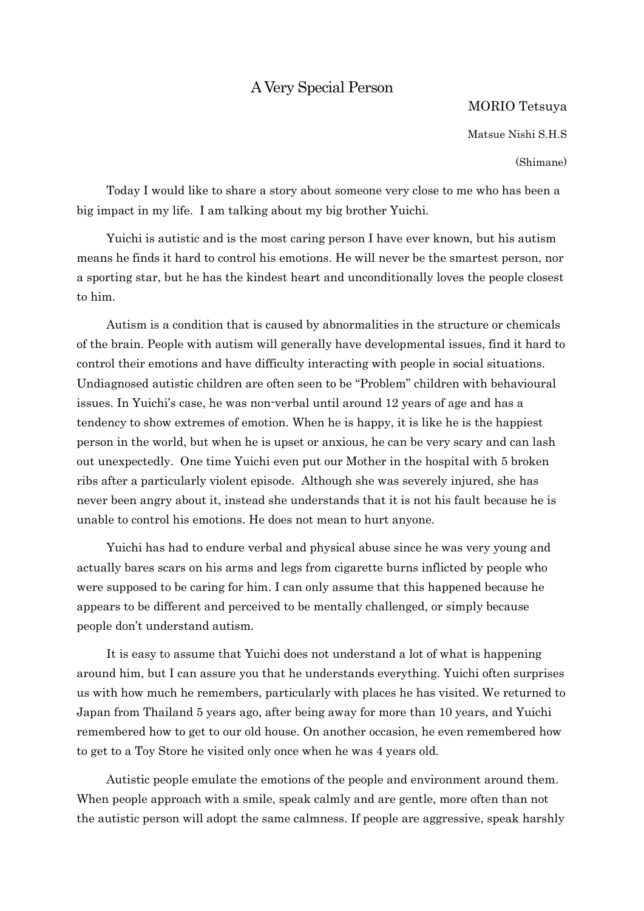## A Very Special Person

## MORIO Tetsuya

Matsue Nishi S.H.S

(Shimane)

Today I would like to share a story about someone very close to me who has been a big impact in my life. I am talking about my big brother Yuichi.

Yuichi is autistic and is the most caring person I have ever known, but his autism means he finds it hard to control his emotions. He will never be the smartest person, nor a sporting star, but he has the kindest heart and unconditionally loves the people closest to him.

Autism is a condition that is caused by abnormalities in the structure or chemicals of the brain. People with autism will generally have developmental issues, find it hard to control their emotions and have difficulty interacting with people in social situations. Undiagnosed autistic children are often seen to be "Problem" children with behavioural issues. In Yuichi's case, he was non-verbal until around 12 years of age and has a tendency to show extremes of emotion. When he is happy, it is like he is the happiest person in the world, but when he is upset or anxious, he can be very scary and can lash out unexpectedly. One time Yuichi even put our Mother in the hospital with 5 broken ribs after a particularly violent episode. Although she was severely injured, she has never been angry about it, instead she understands that it is not his fault because he is unable to control his emotions. He does not mean to hurt anyone.

Yuichi has had to endure verbal and physical abuse since he was very young and actually bares scars on his arms and legs from cigarette burns inflicted by people who were supposed to be caring for him. I can only assume that this happened because he appears to be different and perceived to be mentally challenged, or simply because people don't understand autism.

It is easy to assume that Yuichi does not understand a lot of what is happening around him, but I can assure you that he understands everything. Yuichi often surprises us with how much he remembers, particularly with places he has visited. We returned to Japan from Thailand 5 years ago, after being away for more than 10 years, and Yuichi remembered how to get to our old house. On another occasion, he even remembered how to get to a Toy Store he visited only once when he was 4 years old.

Autistic people emulate the emotions of the people and environment around them. When people approach with a smile, speak calmly and are gentle, more often than not the autistic person will adopt the same calmness. If people are aggressive, speak harshly